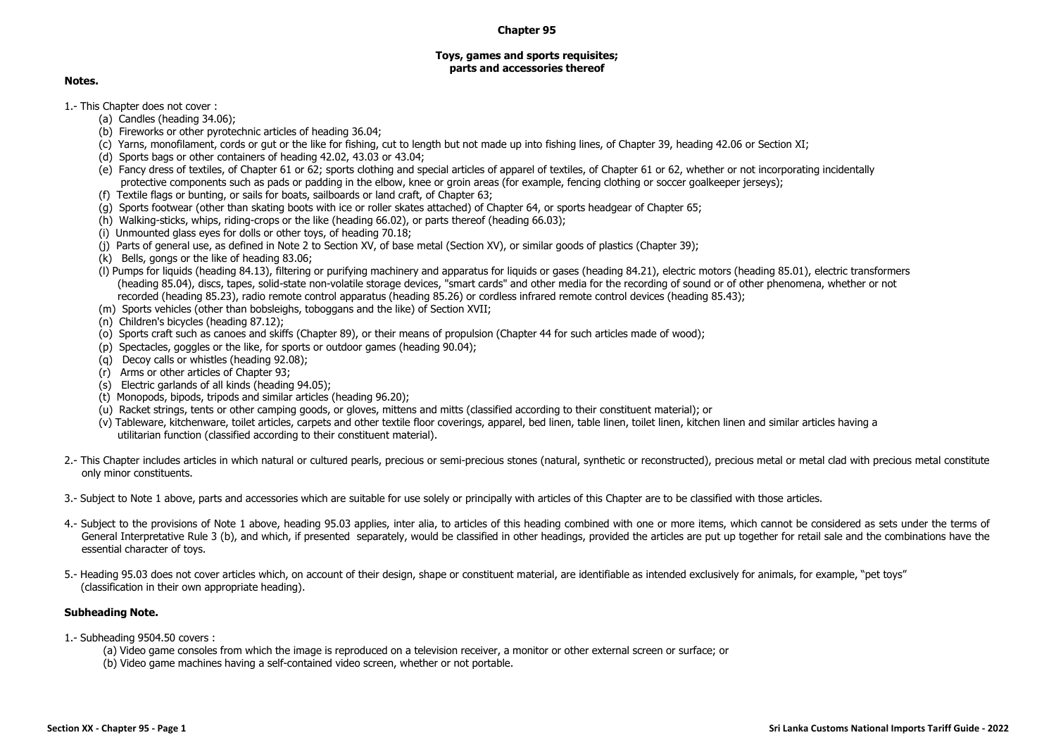## **Chapter 95**

## **Toys, games and sports requisites; parts and accessories thereof**

## **Notes.**

1.- This Chapter does not cover :

- (a) Candles (heading 34.06);
- (b) Fireworks or other pyrotechnic articles of heading 36.04;
- (c) Yarns, monofilament, cords or gut or the like for fishing, cut to length but not made up into fishing lines, of Chapter 39, heading 42.06 or Section XI;
- (d) Sports bags or other containers of heading 42.02, 43.03 or 43.04;
- (e) Fancy dress of textiles, of Chapter 61 or 62; sports clothing and special articles of apparel of textiles, of Chapter 61 or 62, whether or not incorporating incidentally protective components such as pads or padding in the elbow, knee or groin areas (for example, fencing clothing or soccer goalkeeper jerseys);
- (f) Textile flags or bunting, or sails for boats, sailboards or land craft, of Chapter 63;
- (g) Sports footwear (other than skating boots with ice or roller skates attached) of Chapter 64, or sports headgear of Chapter 65;
- (h) Walking-sticks, whips, riding-crops or the like (heading 66.02), or parts thereof (heading 66.03);
- (i) Unmounted glass eyes for dolls or other toys, of heading 70.18;
- (j) Parts of general use, as defined in Note 2 to Section XV, of base metal (Section XV), or similar goods of plastics (Chapter 39);
- (k) Bells, gongs or the like of heading 83.06;
- (l) Pumps for liquids (heading 84.13), filtering or purifying machinery and apparatus for liquids or gases (heading 84.21), electric motors (heading 85.01), electric transformers (heading 85.04), discs, tapes, solid-state non-volatile storage devices, "smart cards" and other media for the recording of sound or of other phenomena, whether or not recorded (heading 85.23), radio remote control apparatus (heading 85.26) or cordless infrared remote control devices (heading 85.43);
- (m) Sports vehicles (other than bobsleighs, toboggans and the like) of Section XVII;
- (n) Children's bicycles (heading 87.12);
- (o) Sports craft such as canoes and skiffs (Chapter 89), or their means of propulsion (Chapter 44 for such articles made of wood);
- (p) Spectacles, goggles or the like, for sports or outdoor games (heading 90.04);
- (q) Decoy calls or whistles (heading 92.08);
- (r) Arms or other articles of Chapter 93;
- (s) Electric garlands of all kinds (heading 94.05);
- (t) Monopods, bipods, tripods and similar articles (heading 96.20);
- (u) Racket strings, tents or other camping goods, or gloves, mittens and mitts (classified according to their constituent material); or
- (v) Tableware, kitchenware, toilet articles, carpets and other textile floor coverings, apparel, bed linen, table linen, toilet linen, kitchen linen and similar articles having a utilitarian function (classified according to their constituent material).
- 2.- This Chapter includes articles in which natural or cultured pearls, precious or semi-precious stones (natural, synthetic or reconstructed), precious metal or metal clad with precious metal constitute only minor constituents.
- 3.- Subject to Note 1 above, parts and accessories which are suitable for use solely or principally with articles of this Chapter are to be classified with those articles.
- 4.- Subject to the provisions of Note 1 above, heading 95.03 applies, inter alia, to articles of this heading combined with one or more items, which cannot be considered as sets under the terms of General Interpretative Rule 3 (b), and which, if presented separately, would be classified in other headings, provided the articles are put up together for retail sale and the combinations have the essential character of toys.
- 5.- Heading 95.03 does not cover articles which, on account of their design, shape or constituent material, are identifiable as intended exclusively for animals, for example, "pet toys" (classification in their own appropriate heading).

## **Subheading Note.**

1.- Subheading 9504.50 covers :

- (a) Video game consoles from which the image is reproduced on a television receiver, a monitor or other external screen or surface; or
- (b) Video game machines having a self-contained video screen, whether or not portable.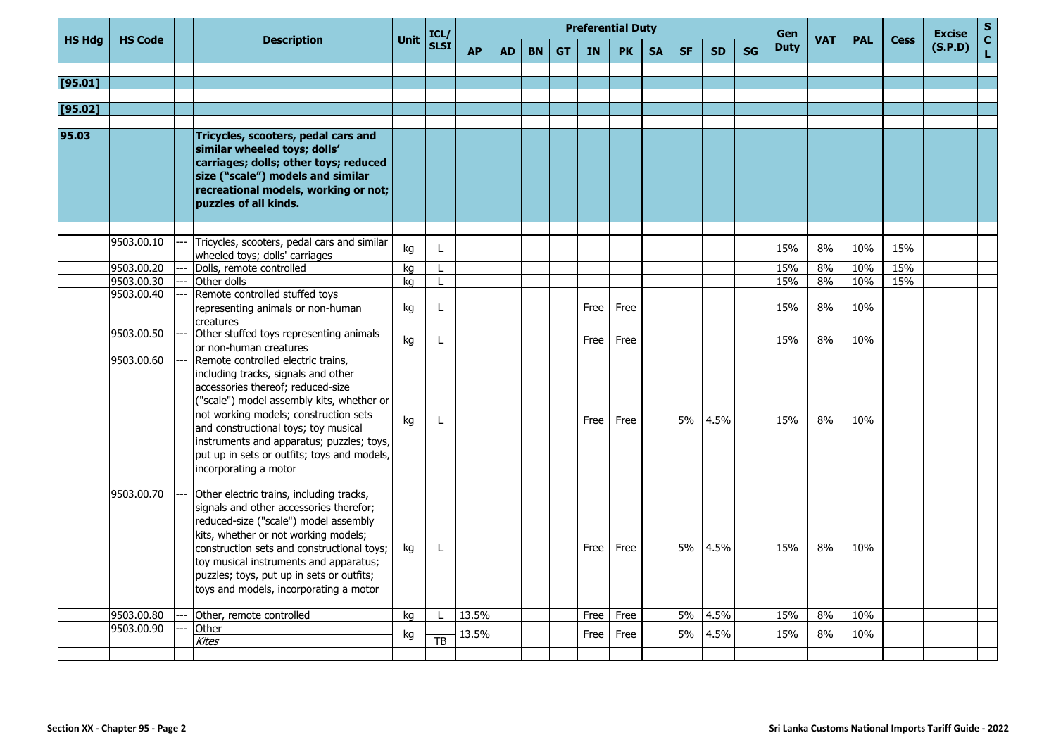|               | <b>HS Code</b>           |                                                                                                                                                                                                                                                                                                                                                                   | <b>Unit</b> | ICL/            | <b>Preferential Duty</b> |           |           |           |      |           |           |           |           |    | Gen         |            |            |             | <b>Excise</b> | $\mathbf S$       |
|---------------|--------------------------|-------------------------------------------------------------------------------------------------------------------------------------------------------------------------------------------------------------------------------------------------------------------------------------------------------------------------------------------------------------------|-------------|-----------------|--------------------------|-----------|-----------|-----------|------|-----------|-----------|-----------|-----------|----|-------------|------------|------------|-------------|---------------|-------------------|
| <b>HS Hdg</b> |                          | <b>Description</b>                                                                                                                                                                                                                                                                                                                                                |             | <b>SLSI</b>     | <b>AP</b>                | <b>AD</b> | <b>BN</b> | <b>GT</b> | IN   | <b>PK</b> | <b>SA</b> | <b>SF</b> | <b>SD</b> | SG | <b>Duty</b> | <b>VAT</b> | <b>PAL</b> | <b>Cess</b> | (S.P.D)       | $\mathbf C$<br>L. |
|               |                          |                                                                                                                                                                                                                                                                                                                                                                   |             |                 |                          |           |           |           |      |           |           |           |           |    |             |            |            |             |               |                   |
| [95.01]       |                          |                                                                                                                                                                                                                                                                                                                                                                   |             |                 |                          |           |           |           |      |           |           |           |           |    |             |            |            |             |               |                   |
| [95.02]       |                          |                                                                                                                                                                                                                                                                                                                                                                   |             |                 |                          |           |           |           |      |           |           |           |           |    |             |            |            |             |               |                   |
|               |                          |                                                                                                                                                                                                                                                                                                                                                                   |             |                 |                          |           |           |           |      |           |           |           |           |    |             |            |            |             |               |                   |
| 95.03         |                          | Tricycles, scooters, pedal cars and<br>similar wheeled toys; dolls'<br>carriages; dolls; other toys; reduced<br>size ("scale") models and similar<br>recreational models, working or not;<br><b>puzzles of all kinds.</b>                                                                                                                                         |             |                 |                          |           |           |           |      |           |           |           |           |    |             |            |            |             |               |                   |
|               | 9503.00.10               | Tricycles, scooters, pedal cars and similar                                                                                                                                                                                                                                                                                                                       | kg          | L               |                          |           |           |           |      |           |           |           |           |    | 15%         | 8%         | 10%        | 15%         |               |                   |
|               |                          | wheeled toys; dolls' carriages                                                                                                                                                                                                                                                                                                                                    |             |                 |                          |           |           |           |      |           |           |           |           |    |             |            |            |             |               |                   |
|               | 9503.00.20<br>9503.00.30 | Dolls, remote controlled<br>Other dolls                                                                                                                                                                                                                                                                                                                           | kg          | т.              |                          |           |           |           |      |           |           |           |           |    | 15%<br>15%  | 8%<br>8%   | 10%<br>10% | 15%<br>15%  |               |                   |
|               | 9503.00.40               | Remote controlled stuffed toys                                                                                                                                                                                                                                                                                                                                    | kg          |                 |                          |           |           |           |      |           |           |           |           |    |             |            |            |             |               |                   |
|               |                          | representing animals or non-human<br>creatures                                                                                                                                                                                                                                                                                                                    | kg          | L               |                          |           |           |           | Free | Free      |           |           |           |    | 15%         | 8%         | 10%        |             |               |                   |
|               | 9503.00.50               | Other stuffed toys representing animals<br>lor non-human creatures                                                                                                                                                                                                                                                                                                | kg          | L               |                          |           |           |           | Free | Free      |           |           |           |    | 15%         | 8%         | 10%        |             |               |                   |
|               | 9503.00.60               | Remote controlled electric trains,<br>including tracks, signals and other<br>accessories thereof; reduced-size<br>("scale") model assembly kits, whether or<br>not working models; construction sets<br>and constructional toys; toy musical<br>instruments and apparatus; puzzles; toys,<br>put up in sets or outfits; toys and models,<br>incorporating a motor | kg          | L               |                          |           |           |           | Free | Free      |           | 5%        | 4.5%      |    | 15%         | 8%         | 10%        |             |               |                   |
|               | 9503.00.70               | Other electric trains, including tracks,<br>signals and other accessories therefor;<br>reduced-size ("scale") model assembly<br>kits, whether or not working models;<br>construction sets and constructional toys;<br>toy musical instruments and apparatus;<br>puzzles; toys, put up in sets or outfits;<br>toys and models, incorporating a motor               | kg          | L               |                          |           |           |           | Free | Free      |           | 5%        | 4.5%      |    | 15%         | 8%         | 10%        |             |               |                   |
|               | 9503.00.80               | Other, remote controlled                                                                                                                                                                                                                                                                                                                                          | kg          |                 | 13.5%                    |           |           |           | Free | Free      |           | 5%        | 4.5%      |    | 15%         | 8%         | 10%        |             |               |                   |
|               | 9503.00.90               | Other                                                                                                                                                                                                                                                                                                                                                             | kg          |                 | 13.5%                    |           |           |           | Free | Free      |           | 5%        | 4.5%      |    | 15%         | 8%         | 10%        |             |               |                   |
|               |                          | <b>Kites</b>                                                                                                                                                                                                                                                                                                                                                      |             | $\overline{TB}$ |                          |           |           |           |      |           |           |           |           |    |             |            |            |             |               |                   |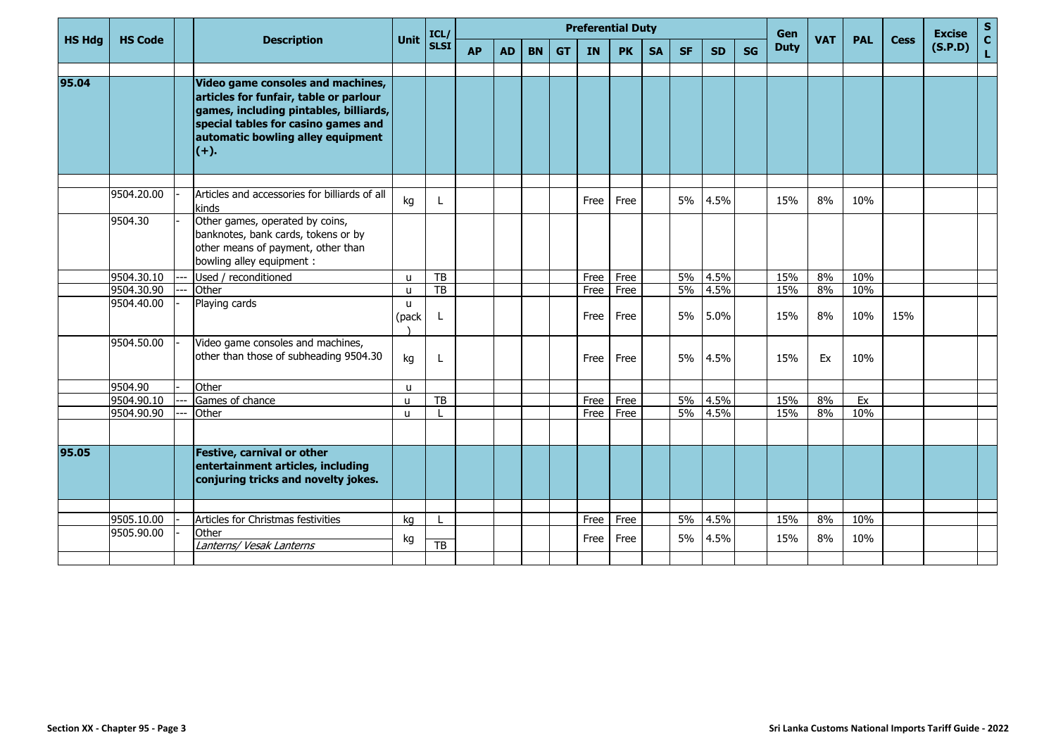|               | <b>HS Code</b> |                                                                                                                                                                                                             | <b>Unit</b>           | ICL/            | <b>Preferential Duty</b> |           |           |           |      |           |           |           |           |           | Gen         |            |            |             | <b>Excise</b> | $\mathbf S$        |
|---------------|----------------|-------------------------------------------------------------------------------------------------------------------------------------------------------------------------------------------------------------|-----------------------|-----------------|--------------------------|-----------|-----------|-----------|------|-----------|-----------|-----------|-----------|-----------|-------------|------------|------------|-------------|---------------|--------------------|
| <b>HS Hdg</b> |                | <b>Description</b>                                                                                                                                                                                          |                       | <b>SLSI</b>     | <b>AP</b>                | <b>AD</b> | <b>BN</b> | <b>GT</b> | IN   | <b>PK</b> | <b>SA</b> | <b>SF</b> | <b>SD</b> | <b>SG</b> | <b>Duty</b> | <b>VAT</b> | <b>PAL</b> | <b>Cess</b> | (S.P.D)       | $\mathbf{C}$<br>L. |
| 95.04         |                | Video game consoles and machines,<br>articles for funfair, table or parlour<br>games, including pintables, billiards,<br>special tables for casino games and<br>automatic bowling alley equipment<br>$(+).$ |                       |                 |                          |           |           |           |      |           |           |           |           |           |             |            |            |             |               |                    |
|               | 9504.20.00     | Articles and accessories for billiards of all<br>kinds                                                                                                                                                      | kg                    | L               |                          |           |           |           | Free | Free      |           | 5%        | 4.5%      |           | 15%         | 8%         | 10%        |             |               |                    |
|               | 9504.30        | Other games, operated by coins,<br>banknotes, bank cards, tokens or by<br>other means of payment, other than<br>bowling alley equipment :                                                                   |                       |                 |                          |           |           |           |      |           |           |           |           |           |             |            |            |             |               |                    |
|               | 9504.30.10     | Used / reconditioned                                                                                                                                                                                        | $\mathbf{u}$          | TB              |                          |           |           |           | Free | Free      |           | 5%        | 4.5%      |           | 15%         | 8%         | 10%        |             |               |                    |
|               | 9504.30.90     | Other                                                                                                                                                                                                       | u                     | <b>TB</b>       |                          |           |           |           | Free | Free      |           | 5%        | 4.5%      |           | 15%         | 8%         | 10%        |             |               |                    |
|               | 9504.40.00     | Playing cards                                                                                                                                                                                               | $\mathbf{u}$<br>(pack | L               |                          |           |           |           | Free | Free      |           | 5%        | 5.0%      |           | 15%         | 8%         | 10%        | 15%         |               |                    |
|               | 9504.50.00     | Video game consoles and machines,<br>other than those of subheading 9504.30                                                                                                                                 | kg                    | L               |                          |           |           |           | Free | Free      |           | 5%        | 4.5%      |           | 15%         | Ex         | 10%        |             |               |                    |
|               | 9504.90        | Other                                                                                                                                                                                                       | u                     |                 |                          |           |           |           |      |           |           |           |           |           |             |            |            |             |               |                    |
|               | 9504.90.10     | Games of chance                                                                                                                                                                                             | u                     | TB              |                          |           |           |           | Free | Free      |           | 5%        | 4.5%      |           | 15%         | 8%         | Ex         |             |               |                    |
|               | 9504.90.90     | Other                                                                                                                                                                                                       | $\mathbf{u}$          |                 |                          |           |           |           | Free | Free      |           | 5%        | 4.5%      |           | 15%         | 8%         | 10%        |             |               |                    |
| 95.05         |                | Festive, carnival or other<br>entertainment articles, including<br>conjuring tricks and novelty jokes.                                                                                                      |                       |                 |                          |           |           |           |      |           |           |           |           |           |             |            |            |             |               |                    |
|               |                |                                                                                                                                                                                                             |                       |                 |                          |           |           |           |      |           |           |           |           |           |             |            |            |             |               |                    |
|               | 9505.10.00     | Articles for Christmas festivities                                                                                                                                                                          | kg                    |                 |                          |           |           |           | Free | Free      |           | 5%        | 4.5%      |           | 15%         | 8%         | 10%        |             |               |                    |
|               | 9505.90.00     | Other<br>Lanterns/ Vesak Lanterns                                                                                                                                                                           | kg                    | $\overline{TB}$ |                          |           |           |           | Free | Free      |           | 5%        | 4.5%      |           | 15%         | 8%         | 10%        |             |               |                    |
|               |                |                                                                                                                                                                                                             |                       |                 |                          |           |           |           |      |           |           |           |           |           |             |            |            |             |               |                    |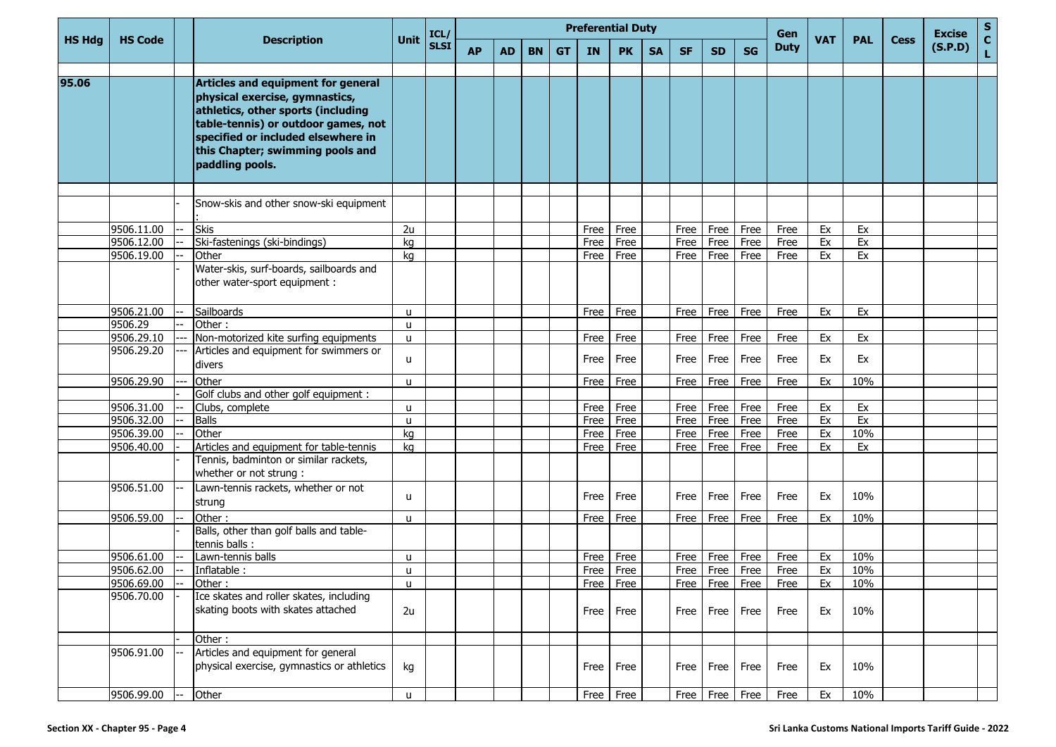| <b>HS Hdg</b> | <b>HS Code</b> |      | <b>Description</b>                                                                                                                                                                                                                             |              | ICL/<br><b>SLSI</b> | <b>Preferential Duty</b> |           |           |           |           |           |           |           |                    |                    | Gen         |            |            |             | <b>Excise</b> | $\mathbf{s}$      |
|---------------|----------------|------|------------------------------------------------------------------------------------------------------------------------------------------------------------------------------------------------------------------------------------------------|--------------|---------------------|--------------------------|-----------|-----------|-----------|-----------|-----------|-----------|-----------|--------------------|--------------------|-------------|------------|------------|-------------|---------------|-------------------|
|               |                |      |                                                                                                                                                                                                                                                | <b>Unit</b>  |                     | <b>AP</b>                | <b>AD</b> | <b>BN</b> | <b>GT</b> | <b>IN</b> | <b>PK</b> | <b>SA</b> | <b>SF</b> | <b>SD</b>          | <b>SG</b>          | <b>Duty</b> | <b>VAT</b> | <b>PAL</b> | <b>Cess</b> | (S.P.D)       | $\mathbf{C}$<br>L |
| 95.06         |                |      | Articles and equipment for general<br>physical exercise, gymnastics,<br>athletics, other sports (including<br>table-tennis) or outdoor games, not<br>specified or included elsewhere in<br>this Chapter; swimming pools and<br>paddling pools. |              |                     |                          |           |           |           |           |           |           |           |                    |                    |             |            |            |             |               |                   |
|               |                |      |                                                                                                                                                                                                                                                |              |                     |                          |           |           |           |           |           |           |           |                    |                    |             |            |            |             |               |                   |
|               |                |      | Snow-skis and other snow-ski equipment                                                                                                                                                                                                         |              |                     |                          |           |           |           |           |           |           |           |                    |                    |             |            |            |             |               |                   |
|               | 9506.11.00     |      | <b>Skis</b>                                                                                                                                                                                                                                    | 2u           |                     |                          |           |           |           | Free      | Free      |           | Free      | Free               | Free               | Free        | Ex         | Ex         |             |               |                   |
|               | 9506.12.00     |      | Ski-fastenings (ski-bindings)                                                                                                                                                                                                                  | kg           |                     |                          |           |           |           | Free      | Free      |           | Free      | Free               | Free               | Free        | Ex         | Ex         |             |               |                   |
|               | 9506.19.00     |      | Other                                                                                                                                                                                                                                          | kg           |                     |                          |           |           |           | Free      | Free      |           | Free      | Free               | Free               | Free        | Ex         | Ex         |             |               |                   |
|               |                |      | Water-skis, surf-boards, sailboards and<br>other water-sport equipment :                                                                                                                                                                       |              |                     |                          |           |           |           |           |           |           |           |                    |                    |             |            |            |             |               |                   |
|               | 9506.21.00     |      | Sailboards                                                                                                                                                                                                                                     | u            |                     |                          |           |           |           | Free      | Free      |           | Free      | Free               | Free               | Free        | Ex         | Ex         |             |               |                   |
|               | 9506.29        |      | Other:                                                                                                                                                                                                                                         | <b>u</b>     |                     |                          |           |           |           |           |           |           |           |                    |                    |             |            |            |             |               |                   |
|               | 9506.29.10     |      | Non-motorized kite surfing equipments                                                                                                                                                                                                          | <b>u</b>     |                     |                          |           |           |           | Free      | Free      |           | Free      | Free               | Free               | Free        | Ex         | Ex         |             |               |                   |
|               | 9506.29.20     |      | Articles and equipment for swimmers or<br>divers                                                                                                                                                                                               | u.           |                     |                          |           |           |           | Free      | Free      |           | Free      | Free               | Free               | Free        | Ex         | Ex         |             |               |                   |
|               | 9506.29.90     |      | Other                                                                                                                                                                                                                                          | $\mathbf{u}$ |                     |                          |           |           |           | Free      | Free      |           | Free      | Free               | Free               | Free        | Ex         | 10%        |             |               |                   |
|               |                |      | Golf clubs and other golf equipment :                                                                                                                                                                                                          |              |                     |                          |           |           |           |           |           |           |           |                    |                    |             |            |            |             |               |                   |
|               | 9506.31.00     |      | Clubs, complete                                                                                                                                                                                                                                | <b>u</b>     |                     |                          |           |           |           | Free      | Free      |           | Free      | Free               | Free               | Free        | Ex         | Ex         |             |               |                   |
|               | 9506.32.00     |      | <b>Balls</b>                                                                                                                                                                                                                                   | <b>u</b>     |                     |                          |           |           |           | Free      | Free      |           | Free      | Free               | Free               | Free        | Ex         | Ex         |             |               |                   |
|               | 9506.39.00     |      | Other                                                                                                                                                                                                                                          | kg           |                     |                          |           |           |           | Free      | Free      |           | Free      | Free               | Free               | Free        | Ex         | 10%        |             |               |                   |
|               | 9506.40.00     |      | Articles and equipment for table-tennis<br>Tennis, badminton or similar rackets,<br>whether or not strung :                                                                                                                                    | kg           |                     |                          |           |           |           | Free      | Free      |           | Free      | Free               | Free               | Free        | Ex         | Ex         |             |               |                   |
|               | 9506.51.00     |      | Lawn-tennis rackets, whether or not<br>strung                                                                                                                                                                                                  | $\mathbf{u}$ |                     |                          |           |           |           | Free      | Free      |           | Free      | Free               | Free               | Free        | Ex         | 10%        |             |               |                   |
|               | 9506.59.00     |      | Other:                                                                                                                                                                                                                                         | u            |                     |                          |           |           |           | Free      | Free      |           | Free      | Free               | Free               | Free        | Ex         | 10%        |             |               |                   |
|               |                |      | Balls, other than golf balls and table-<br>tennis balls :                                                                                                                                                                                      |              |                     |                          |           |           |           |           |           |           |           |                    |                    |             |            |            |             |               |                   |
|               | 9506.61.00     |      | Lawn-tennis balls                                                                                                                                                                                                                              | u            |                     |                          |           |           |           | Free      | Free      |           | Free      | Free               | Free               | Free        | Ex         | 10%        |             |               |                   |
|               | 9506.62.00     |      | Inflatable:                                                                                                                                                                                                                                    | <b>u</b>     |                     |                          |           |           |           | Free      | Free      |           | Free      | Free               | Free               | Free        | Ex         | 10%        |             |               |                   |
|               | 9506.69.00     |      | Other:                                                                                                                                                                                                                                         | u            |                     |                          |           |           |           | Free Free |           |           |           |                    | Free   Free   Free | Free        | Ex         | 10%        |             |               |                   |
|               | 9506.70.00     |      | Ice skates and roller skates, including<br>skating boots with skates attached                                                                                                                                                                  | 2u           |                     |                          |           |           |           | Free      | Free      |           | Free      | Free               | Free               | Free        | Ex         | 10%        |             |               |                   |
|               |                |      | Other:                                                                                                                                                                                                                                         |              |                     |                          |           |           |           |           |           |           |           |                    |                    |             |            |            |             |               |                   |
|               | 9506.91.00     |      | Articles and equipment for general<br>physical exercise, gymnastics or athletics                                                                                                                                                               | kg           |                     |                          |           |           |           |           | Free Free |           |           | Free   Free   Free |                    | Free        | Ex         | 10%        |             |               |                   |
|               | 9506.99.00     | $--$ | Other                                                                                                                                                                                                                                          | u.           |                     |                          |           |           |           |           | Free Free |           |           |                    | Free Free Free     | Free        | Ex         | 10%        |             |               |                   |